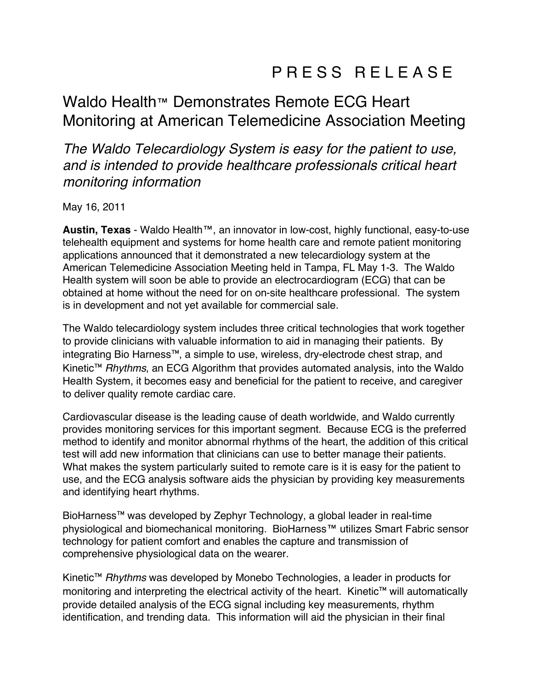## Waldo Health™ Demonstrates Remote ECG Heart Monitoring at American Telemedicine Association Meeting

*The Waldo Telecardiology System is easy for the patient to use, and is intended to provide healthcare professionals critical heart monitoring information* 

May 16, 2011

**Austin, Texas** - Waldo Health™, an innovator in low-cost, highly functional, easy-to-use telehealth equipment and systems for home health care and remote patient monitoring applications announced that it demonstrated a new telecardiology system at the American Telemedicine Association Meeting held in Tampa, FL May 1-3. The Waldo Health system will soon be able to provide an electrocardiogram (ECG) that can be obtained at home without the need for on on-site healthcare professional. The system is in development and not yet available for commercial sale.

The Waldo telecardiology system includes three critical technologies that work together to provide clinicians with valuable information to aid in managing their patients. By integrating Bio Harness™, a simple to use, wireless, dry-electrode chest strap, and Kinetic™ *Rhythms*, an ECG Algorithm that provides automated analysis, into the Waldo Health System, it becomes easy and beneficial for the patient to receive, and caregiver to deliver quality remote cardiac care.

Cardiovascular disease is the leading cause of death worldwide, and Waldo currently provides monitoring services for this important segment. Because ECG is the preferred method to identify and monitor abnormal rhythms of the heart, the addition of this critical test will add new information that clinicians can use to better manage their patients. What makes the system particularly suited to remote care is it is easy for the patient to use, and the ECG analysis software aids the physician by providing key measurements and identifying heart rhythms.

BioHarness™ was developed by Zephyr Technology, a global leader in real-time physiological and biomechanical monitoring. BioHarness™ utilizes Smart Fabric sensor technology for patient comfort and enables the capture and transmission of comprehensive physiological data on the wearer.

Kinetic™ *Rhythms* was developed by Monebo Technologies, a leader in products for monitoring and interpreting the electrical activity of the heart. Kinetic™ will automatically provide detailed analysis of the ECG signal including key measurements, rhythm identification, and trending data. This information will aid the physician in their final